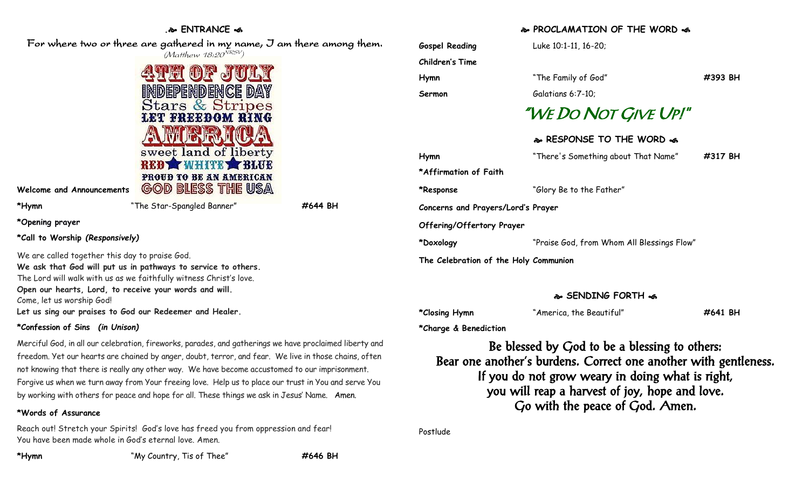## **. ENTRANCE**  For where two or three are gathered in my name, I am there among them. (Matthew 18:20<sup>NRSV</sup>) **Children's Time PHI OF J** independence day **Stars & Stripes LET FREEDOM RING** sweet land of liberty **\*Affirmation of Faith** PROUD TO BE AN AMERICAN **GOD BLESS THE USA Welcome and Announcements \*Hymn** "The Star-Spangled Banner" **#644 BH \*Opening prayer \*Call to Worship** *(Responsively)* We are called together this day to praise God. **The Celebration of the Holy Communion We ask that God will put us in pathways to service to others.** The Lord will walk with us as we faithfully witness Christ's love. **Open our hearts, Lord, to receive your words and will.** Come, let us worship God! **Let us sing our praises to God our Redeemer and Healer. \*Confession of Sins** *(in Unison)*

Merciful God, in all our celebration, fireworks, parades, and gatherings we have proclaimed liberty and freedom. Yet our hearts are chained by anger, doubt, terror, and fear. We live in those chains, often not knowing that there is really any other way. We have become accustomed to our imprisonment. Forgive us when we turn away from Your freeing love. Help us to place our trust in You and serve You by working with others for peace and hope for all. These things we ask in Jesus' Name. Amen.

### **\*Words of Assurance**

Reach out! Stretch your Spirits! God's love has freed you from oppression and fear! You have been made whole in God's eternal love. Amen.

**PROCLAMATION OF THE WORD** 

| <b>Gospel Reading</b>                 | Luke 10:1-11, 16-20;                       |         |  |
|---------------------------------------|--------------------------------------------|---------|--|
| <b>Children's Time</b>                |                                            |         |  |
| Hymn                                  | "The Family of God"                        | #393 BH |  |
| Sermon                                | Galatians 6:7-10;                          |         |  |
|                                       | "WE DO NOT GIVE UP!"                       |         |  |
|                                       | � RESPONSE TO THE WORD �                   |         |  |
| Hymn                                  | "There's Something about That Name"        | #317 BH |  |
| *Affirmation of Faith                 |                                            |         |  |
| *Response                             | "Glory Be to the Father"                   |         |  |
| Concerns and Prayers/Lord's Prayer    |                                            |         |  |
| Offering/Offertory Prayer             |                                            |         |  |
| *Doxology                             | "Praise God, from Whom All Blessings Flow" |         |  |
| The Celebration of the Holy Communion |                                            |         |  |

#### **SENDING FORTH**

| *Closing Hymn | "America, the Beautiful" | #641 BH |
|---------------|--------------------------|---------|
|               |                          |         |

**\*Charge & Benediction**

Be blessed by God to be a blessing to others: Bear one another's burdens. Correct one another with gentleness. If you do not grow weary in doing what is right, you will reap a harvest of joy, hope and love. Go with the peace of God. Amen.

Postlude